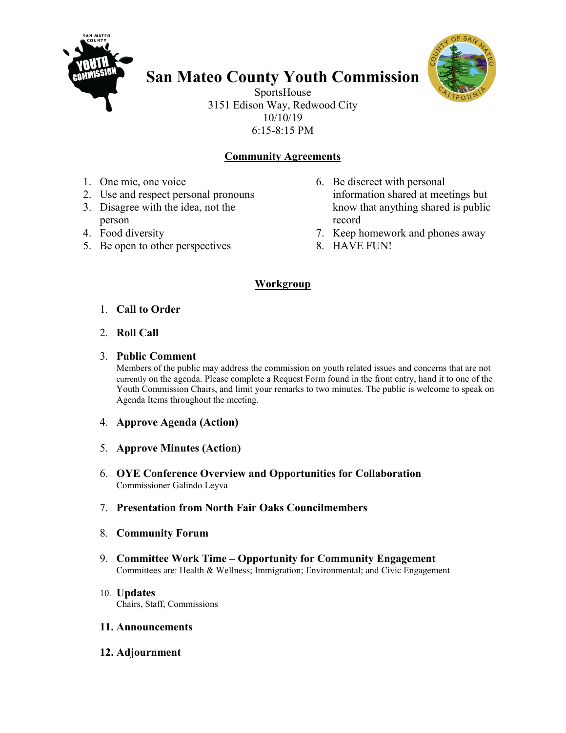

# **San Mateo County Youth Commission**



SportsHouse 3151 Edison Way, Redwood City 10/10/19 6:15-8:15 PM

## **Community Agreements**

- 1. One mic, one voice
- 2. Use and respect personal pronouns
- 3. Disagree with the idea, not the person
- 4. Food diversity
- 5. Be open to other perspectives
- 6. Be discreet with personal information shared at meetings but know that anything shared is public record
- 7. Keep homework and phones away
- 8. HAVE FUN!

### **Workgroup**

- 1. **Call to Order**
- 2. **Roll Call**

### 3. **Public Comment**

Members of the public may address the commission on youth related issues and concerns that are not currently on the agenda. Please complete a Request Form found in the front entry, hand it to one of the Youth Commission Chairs, and limit your remarks to two minutes. The public is welcome to speak on Agenda Items throughout the meeting.

- 4. **Approve Agenda (Action)**
- 5. **Approve Minutes (Action)**
- 6. **OYE Conference Overview and Opportunities for Collaboration** Commissioner Galindo Leyva
- 7. **Presentation from North Fair Oaks Councilmembers**
- 8. **Community Forum**
- 9. **Committee Work Time – Opportunity for Community Engagement** Committees are: Health & Wellness; Immigration; Environmental; and Civic Engagement
- 10. **Updates** Chairs, Staff, Commissions

#### **11. Announcements**

**12. Adjournment**